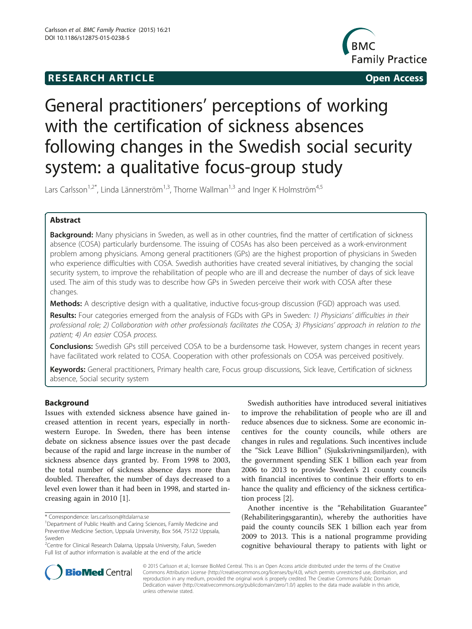## **RESEARCH ARTICLE Example 2014 CONSIDERING CONSIDERING CONSIDERING CONSIDERING CONSIDERING CONSIDERING CONSIDERING CONSIDERING CONSIDERING CONSIDERING CONSIDERING CONSIDERING CONSIDERING CONSIDERING CONSIDERING CONSIDE**



# General practitioners' perceptions of working with the certification of sickness absences following changes in the Swedish social security system: a qualitative focus-group study

Lars Carlsson<sup>1,2\*</sup>, Linda Lännerström<sup>1,3</sup>, Thorne Wallman<sup>1,3</sup> and Inger K Holmström<sup>4,5</sup>

## Abstract

Background: Many physicians in Sweden, as well as in other countries, find the matter of certification of sickness absence (COSA) particularly burdensome. The issuing of COSAs has also been perceived as a work-environment problem among physicians. Among general practitioners (GPs) are the highest proportion of physicians in Sweden who experience difficulties with COSA. Swedish authorities have created several initiatives, by changing the social security system, to improve the rehabilitation of people who are ill and decrease the number of days of sick leave used. The aim of this study was to describe how GPs in Sweden perceive their work with COSA after these changes.

Methods: A descriptive design with a qualitative, inductive focus-group discussion (FGD) approach was used.

Results: Four categories emerged from the analysis of FGDs with GPs in Sweden: 1) Physicians' difficulties in their professional role; 2) Collaboration with other professionals facilitates the COSA; 3) Physicians' approach in relation to the patient; 4) An easier COSA process.

**Conclusions:** Swedish GPs still perceived COSA to be a burdensome task. However, system changes in recent years have facilitated work related to COSA. Cooperation with other professionals on COSA was perceived positively.

Keywords: General practitioners, Primary health care, Focus group discussions, Sick leave, Certification of sickness absence, Social security system

## Background

Issues with extended sickness absence have gained increased attention in recent years, especially in northwestern Europe. In Sweden, there has been intense debate on sickness absence issues over the past decade because of the rapid and large increase in the number of sickness absence days granted by. From 1998 to 2003, the total number of sickness absence days more than doubled. Thereafter, the number of days decreased to a level even lower than it had been in 1998, and started increasing again in 2010 [\[1](#page-6-0)].

![](_page_0_Picture_17.jpeg)

Another incentive is the "Rehabilitation Guarantee" (Rehabiliteringsgarantin), whereby the authorities have paid the county councils SEK 1 billion each year from 2009 to 2013. This is a national programme providing cognitive behavioural therapy to patients with light or

![](_page_0_Picture_19.jpeg)

© 2015 Carlsson et al.; licensee BioMed Central. This is an Open Access article distributed under the terms of the Creative Commons Attribution License [\(http://creativecommons.org/licenses/by/4.0\)](http://creativecommons.org/licenses/by/4.0), which permits unrestricted use, distribution, and reproduction in any medium, provided the original work is properly credited. The Creative Commons Public Domain Dedication waiver [\(http://creativecommons.org/publicdomain/zero/1.0/](http://creativecommons.org/publicdomain/zero/1.0/)) applies to the data made available in this article, unless otherwise stated.

<sup>\*</sup> Correspondence: [lars.carlsson@ltdalarna.se](mailto:lars.carlsson@ltdalarna.se) <sup>1</sup>

<sup>&</sup>lt;sup>1</sup>Department of Public Health and Caring Sciences, Family Medicine and Preventive Medicine Section, Uppsala University, Box 564, 75122 Uppsala, Sweden

<sup>&</sup>lt;sup>2</sup>Centre for Clinical Research Dalarna, Uppsala University, Falun, Sweden Full list of author information is available at the end of the article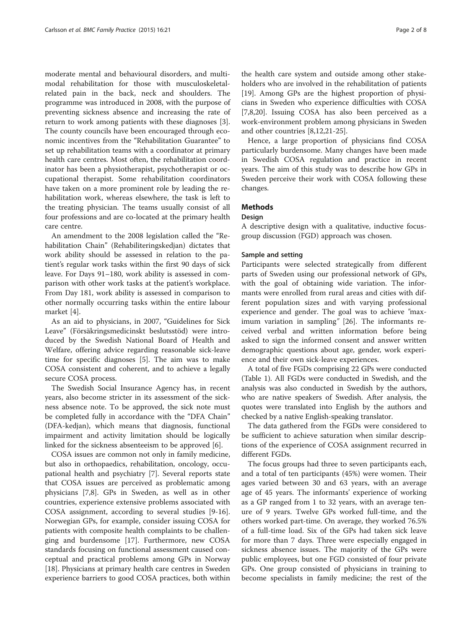moderate mental and behavioural disorders, and multimodal rehabilitation for those with musculoskeletalrelated pain in the back, neck and shoulders. The programme was introduced in 2008, with the purpose of preventing sickness absence and increasing the rate of return to work among patients with these diagnoses [\[3](#page-6-0)]. The county councils have been encouraged through economic incentives from the "Rehabilitation Guarantee" to set up rehabilitation teams with a coordinator at primary health care centres. Most often, the rehabilitation coordinator has been a physiotherapist, psychotherapist or occupational therapist. Some rehabilitation coordinators have taken on a more prominent role by leading the rehabilitation work, whereas elsewhere, the task is left to the treating physician. The teams usually consist of all four professions and are co-located at the primary health care centre.

An amendment to the 2008 legislation called the "Rehabilitation Chain" (Rehabiliteringskedjan) dictates that work ability should be assessed in relation to the patient's regular work tasks within the first 90 days of sick leave. For Days 91–180, work ability is assessed in comparison with other work tasks at the patient's workplace. From Day 181, work ability is assessed in comparison to other normally occurring tasks within the entire labour market [[4](#page-6-0)].

As an aid to physicians, in 2007, "Guidelines for Sick Leave" (Försäkringsmedicinskt beslutsstöd) were introduced by the Swedish National Board of Health and Welfare, offering advice regarding reasonable sick-leave time for specific diagnoses [\[5](#page-6-0)]. The aim was to make COSA consistent and coherent, and to achieve a legally secure COSA process.

The Swedish Social Insurance Agency has, in recent years, also become stricter in its assessment of the sickness absence note. To be approved, the sick note must be completed fully in accordance with the "DFA Chain" (DFA-kedjan), which means that diagnosis, functional impairment and activity limitation should be logically linked for the sickness absenteeism to be approved [\[6](#page-6-0)].

COSA issues are common not only in family medicine, but also in orthopaedics, rehabilitation, oncology, occupational health and psychiatry [[7\]](#page-6-0). Several reports state that COSA issues are perceived as problematic among physicians [\[7,8](#page-6-0)]. GPs in Sweden, as well as in other countries, experience extensive problems associated with COSA assignment, according to several studies [[9-16](#page-6-0)]. Norwegian GPs, for example, consider issuing COSA for patients with composite health complaints to be challenging and burdensome [[17](#page-6-0)]. Furthermore, new COSA standards focusing on functional assessment caused conceptual and practical problems among GPs in Norway [[18\]](#page-6-0). Physicians at primary health care centres in Sweden experience barriers to good COSA practices, both within

the health care system and outside among other stakeholders who are involved in the rehabilitation of patients [[19\]](#page-6-0). Among GPs are the highest proportion of physicians in Sweden who experience difficulties with COSA [[7,8,20\]](#page-6-0). Issuing COSA has also been perceived as a work-environment problem among physicians in Sweden and other countries [\[8,12,21](#page-6-0)-[25](#page-7-0)].

Hence, a large proportion of physicians find COSA particularly burdensome. Many changes have been made in Swedish COSA regulation and practice in recent years. The aim of this study was to describe how GPs in Sweden perceive their work with COSA following these changes.

## Methods

#### Design

A descriptive design with a qualitative, inductive focusgroup discussion (FGD) approach was chosen.

#### Sample and setting

Participants were selected strategically from different parts of Sweden using our professional network of GPs, with the goal of obtaining wide variation. The informants were enrolled from rural areas and cities with different population sizes and with varying professional experience and gender. The goal was to achieve "maximum variation in sampling" [[26\]](#page-7-0). The informants received verbal and written information before being asked to sign the informed consent and answer written demographic questions about age, gender, work experience and their own sick-leave experiences.

A total of five FGDs comprising 22 GPs were conducted (Table [1](#page-2-0)). All FGDs were conducted in Swedish, and the analysis was also conducted in Swedish by the authors, who are native speakers of Swedish. After analysis, the quotes were translated into English by the authors and checked by a native English-speaking translator.

The data gathered from the FGDs were considered to be sufficient to achieve saturation when similar descriptions of the experience of COSA assignment recurred in different FGDs.

The focus groups had three to seven participants each, and a total of ten participants (45%) were women. Their ages varied between 30 and 63 years, with an average age of 45 years. The informants' experience of working as a GP ranged from 1 to 32 years, with an average tenure of 9 years. Twelve GPs worked full-time, and the others worked part-time. On average, they worked 76.5% of a full-time load. Six of the GPs had taken sick leave for more than 7 days. Three were especially engaged in sickness absence issues. The majority of the GPs were public employees, but one FGD consisted of four private GPs. One group consisted of physicians in training to become specialists in family medicine; the rest of the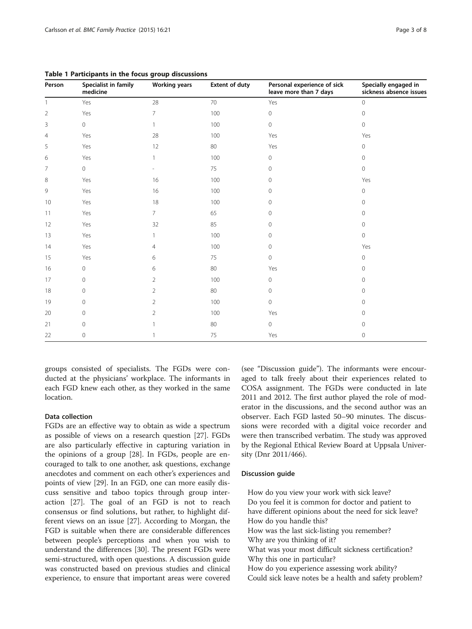| Person         | $- - - - - -$<br>Specialist in family<br>medicine | -<br><b>Working years</b> | <b>Extent of duty</b> | Personal experience of sick<br>leave more than 7 days | Specially engaged in<br>sickness absence issues |
|----------------|---------------------------------------------------|---------------------------|-----------------------|-------------------------------------------------------|-------------------------------------------------|
|                | Yes                                               | 28                        | 70                    | Yes                                                   | $\mathbf{0}$                                    |
| $\overline{2}$ | Yes                                               | $\overline{7}$            | 100                   | $\mathsf{O}\xspace$                                   | $\circ$                                         |
| 3              | 0                                                 |                           | 100                   | $\circ$                                               | $\circ$                                         |
| $\overline{4}$ | Yes                                               | 28                        | 100                   | Yes                                                   | Yes                                             |
| 5              | Yes                                               | 12                        | 80                    | Yes                                                   | $\mathbf 0$                                     |
| 6              | Yes                                               | 1                         | 100                   | $\circ$                                               | $\circ$                                         |
| 7              | $\mathbf 0$                                       |                           | 75                    | 0                                                     | $\mathbf{0}$                                    |
| 8              | Yes                                               | 16                        | 100                   | $\circ$                                               | Yes                                             |
| 9              | Yes                                               | 16                        | 100                   | $\circ$                                               | $\circ$                                         |
| 10             | Yes                                               | 18                        | 100                   | $\circ$                                               | $\circ$                                         |
| 11             | Yes                                               | $\overline{7}$            | 65                    | $\circ$                                               | $\mathbf{0}$                                    |
| 12             | Yes                                               | 32                        | 85                    | $\mathsf{O}\xspace$                                   | $\mathbf{0}$                                    |
| 13             | Yes                                               | 1                         | 100                   | 0                                                     | $\circ$                                         |
| 14             | Yes                                               | $\overline{4}$            | 100                   | $\circ$                                               | Yes                                             |
| 15             | Yes                                               | 6                         | 75                    | $\circ$                                               | $\circ$                                         |
| 16             | 0                                                 | 6                         | 80                    | Yes                                                   | $\circ$                                         |
| 17             | 0                                                 | $\overline{2}$            | 100                   | 0                                                     | $\circ$                                         |
| 18             | 0                                                 | 2                         | 80                    | 0                                                     | $\circ$                                         |
| 19             | $\overline{0}$                                    | $\overline{2}$            | 100                   | $\mathsf{O}\xspace$                                   | $\overline{0}$                                  |
| 20             | $\overline{0}$                                    | $\overline{2}$            | 100                   | Yes                                                   | $\mathbf{0}$                                    |
| 21             | 0                                                 |                           | 80                    | $\circ$                                               | $\circ$                                         |
| 22             | $\overline{0}$                                    | 1                         | 75                    | Yes                                                   | $\circ$                                         |

<span id="page-2-0"></span>Table 1 Participants in the focus group discussions

groups consisted of specialists. The FGDs were conducted at the physicians' workplace. The informants in each FGD knew each other, as they worked in the same location.

#### Data collection

FGDs are an effective way to obtain as wide a spectrum as possible of views on a research question [[27\]](#page-7-0). FGDs are also particularly effective in capturing variation in the opinions of a group [\[28](#page-7-0)]. In FGDs, people are encouraged to talk to one another, ask questions, exchange anecdotes and comment on each other's experiences and points of view [\[29](#page-7-0)]. In an FGD, one can more easily discuss sensitive and taboo topics through group interaction [[27\]](#page-7-0). The goal of an FGD is not to reach consensus or find solutions, but rather, to highlight different views on an issue [\[27](#page-7-0)]. According to Morgan, the FGD is suitable when there are considerable differences between people's perceptions and when you wish to understand the differences [[30\]](#page-7-0). The present FGDs were semi-structured, with open questions. A discussion guide was constructed based on previous studies and clinical experience, to ensure that important areas were covered

(see "Discussion guide"). The informants were encouraged to talk freely about their experiences related to COSA assignment. The FGDs were conducted in late 2011 and 2012. The first author played the role of moderator in the discussions, and the second author was an observer. Each FGD lasted 50–90 minutes. The discussions were recorded with a digital voice recorder and were then transcribed verbatim. The study was approved by the Regional Ethical Review Board at Uppsala University (Dnr 2011/466).

#### Discussion guide

How do you view your work with sick leave? Do you feel it is common for doctor and patient to have different opinions about the need for sick leave? How do you handle this? How was the last sick-listing you remember? Why are you thinking of it? What was your most difficult sickness certification? Why this one in particular? How do you experience assessing work ability?

Could sick leave notes be a health and safety problem?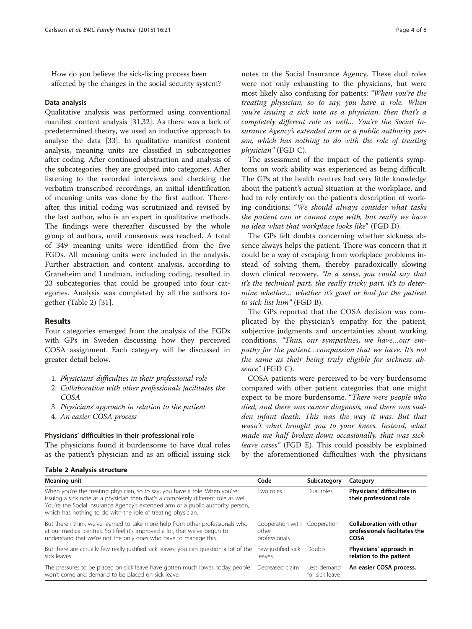How do you believe the sick-listing process been affected by the changes in the social security system?

#### Data analysis

Qualitative analysis was performed using conventional manifest content analysis [\[31,32](#page-7-0)]. As there was a lack of predetermined theory, we used an inductive approach to analyse the data [\[33\]](#page-7-0). In qualitative manifest content analysis, meaning units are classified in subcategories after coding. After continued abstraction and analysis of the subcategories, they are grouped into categories. After listening to the recorded interviews and checking the verbatim transcribed recordings, an initial identification of meaning units was done by the first author. Thereafter, this initial coding was scrutinized and revised by the last author, who is an expert in qualitative methods. The findings were thereafter discussed by the whole group of authors, until consensus was reached. A total of 349 meaning units were identified from the five FGDs. All meaning units were included in the analysis. Further abstraction and content analysis, according to Graneheim and Lundman, including coding, resulted in 23 subcategories that could be grouped into four categories. Analysis was completed by all the authors together (Table 2) [[31\]](#page-7-0).

#### Results

Four categories emerged from the analysis of the FGDs with GPs in Sweden discussing how they perceived COSA assignment. Each category will be discussed in greater detail below.

- 1. Physicians' difficulties in their professional role
- 2. Collaboration with other professionals facilitates the COSA
- 3. Physicians' approach in relation to the patient
- 4. An easier COSA process

## Physicians' difficulties in their professional role

The physicians found it burdensome to have dual roles as the patient's physician and as an official issuing sick

notes to the Social Insurance Agency. These dual roles were not only exhausting to the physicians, but were most likely also confusing for patients: "When you're the treating physician, so to say, you have a role. When you're issuing a sick note as a physician, then that's a completely different role as well… You're the Social Insurance Agency's extended arm or a public authority person, which has nothing to do with the role of treating physician" (FGD C).

The assessment of the impact of the patient's symptoms on work ability was experienced as being difficult. The GPs at the health centres had very little knowledge about the patient's actual situation at the workplace, and had to rely entirely on the patient's description of working conditions: "We should always consider what tasks the patient can or cannot cope with, but really we have no idea what that workplace looks like" (FGD D).

The GPs felt doubts concerning whether sickness absence always helps the patient. There was concern that it could be a way of escaping from workplace problems instead of solving them, thereby paradoxically slowing down clinical recovery. "In a sense, you could say that it's the technical part, the really tricky part, it's to determine whether… whether it's good or bad for the patient to sick-list him" (FGD B).

The GPs reported that the COSA decision was complicated by the physician's empathy for the patient, subjective judgments and uncertainties about working conditions. "Thus, our sympathies, we have…our empathy for the patient…compassion that we have. It's not the same as their being truly eligible for sickness absence" (FGD C).

COSA patients were perceived to be very burdensome compared with other patient categories that one might expect to be more burdensome. "There were people who died, and there was cancer diagnosis, and there was sudden infant death. This was the way it was. But that wasn't what brought you to your knees. Instead, what made me half broken-down occasionally, that was sickleave cases" (FGD E). This could possibly be explained by the aforementioned difficulties with the physicians

| Meaning unit                                                                                                                                                                                                                                                                                                         | Code                                                   | Subcategory                   | Category                                                                 |
|----------------------------------------------------------------------------------------------------------------------------------------------------------------------------------------------------------------------------------------------------------------------------------------------------------------------|--------------------------------------------------------|-------------------------------|--------------------------------------------------------------------------|
| When you're the treating physician, so to say, you have a role. When you're<br>issuing a sick note as a physician then that's a completely different role as well<br>You're the Social Insurance Agency's extended arm or a public authority person,<br>which has nothing to do with the role of treating physician. | Two roles                                              | Dual roles                    | Physicians' difficulties in<br>their professional role                   |
| But there I think we've learned to take more help from other professionals who<br>at our medical centres. So I feel it's improved a lot, that we've begun to<br>understand that we're not the only ones who have to manage this.                                                                                     | Cooperation with Cooperation<br>other<br>professionals |                               | Collaboration with other<br>professionals facilitates the<br><b>COSA</b> |
| But there are actually few really justified sick leaves; you can question a lot of the<br>sick leaves.                                                                                                                                                                                                               | Few justified sick<br>leaves                           | <b>Doubts</b>                 | Physicians' approach in<br>relation to the patient                       |
| The pressures to be placed on sick leave have gotten much lower; today people<br>won't come and demand to be placed on sick leave.                                                                                                                                                                                   | Decreased claim                                        | Less demand<br>for sick leave | An easier COSA process.                                                  |

#### Table 2 Analysis structure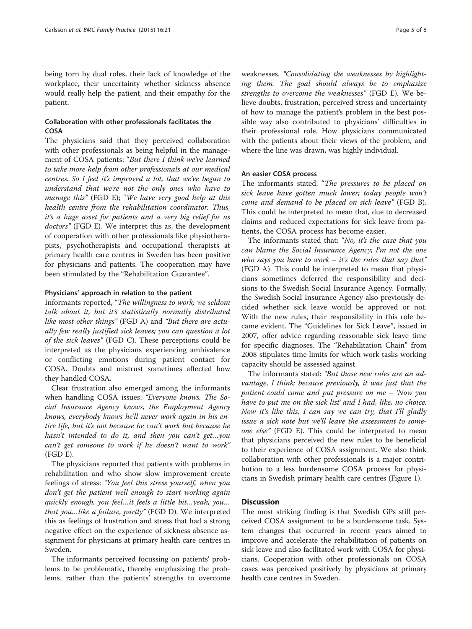being torn by dual roles, their lack of knowledge of the workplace, their uncertainty whether sickness absence would really help the patient, and their empathy for the patient.

## Collaboration with other professionals facilitates the COSA

The physicians said that they perceived collaboration with other professionals as being helpful in the management of COSA patients: "But there I think we've learned to take more help from other professionals at our medical centres. So I feel it's improved a lot, that we've begun to understand that we're not the only ones who have to manage this" (FGD E); "We have very good help at this health centre from the rehabilitation coordinator. Thus, it's a huge asset for patients and a very big relief for us doctors" (FGD E). We interpret this as, the development of cooperation with other professionals like physiotherapists, psychotherapists and occupational therapists at primary health care centres in Sweden has been positive for physicians and patients. The cooperation may have been stimulated by the "Rehabilitation Guarantee".

#### Physicians' approach in relation to the patient

Informants reported, "The willingness to work; we seldom talk about it, but it's statistically normally distributed like most other things" (FGD A) and "But there are actually few really justified sick leaves; you can question a lot of the sick leaves" (FGD C). These perceptions could be interpreted as the physicians experiencing ambivalence or conflicting emotions during patient contact for COSA. Doubts and mistrust sometimes affected how they handled COSA.

Clear frustration also emerged among the informants when handling COSA issues: "Everyone knows. The Social Insurance Agency knows, the Employment Agency knows, everybody knows he'll never work again in his entire life, but it's not because he can't work but because he hasn't intended to do it, and then you can't get…you can't get someone to work if he doesn't want to work" (FGD E).

The physicians reported that patients with problems in rehabilitation and who show slow improvement create feelings of stress: "You feel this stress yourself, when you don't get the patient well enough to start working again quickly enough, you feel…it feels a little bit…yeah, you… that you…like a failure, partly" (FGD D). We interpreted this as feelings of frustration and stress that had a strong negative effect on the experience of sickness absence assignment for physicians at primary health care centres in Sweden.

The informants perceived focussing on patients' problems to be problematic, thereby emphasizing the problems, rather than the patients' strengths to overcome

weaknesses. "Consolidating the weaknesses by highlighting them. The goal should always be to emphasize strengths to overcome the weaknesses" (FGD E). We believe doubts, frustration, perceived stress and uncertainty of how to manage the patient's problem in the best possible way also contributed to physicians' difficulties in their professional role. How physicians communicated with the patients about their views of the problem, and

#### An easier COSA process

The informants stated: "The pressures to be placed on sick leave have gotten much lower; today people won't come and demand to be placed on sick leave" (FGD B). This could be interpreted to mean that, due to decreased claims and reduced expectations for sick leave from patients, the COSA process has become easier.

where the line was drawn, was highly individual.

The informants stated that: "No, it's the case that you can blame the Social Insurance Agency; I'm not the one who says you have to work  $-$  it's the rules that say that" (FGD A). This could be interpreted to mean that physicians sometimes deferred the responsibility and decisions to the Swedish Social Insurance Agency. Formally, the Swedish Social Insurance Agency also previously decided whether sick leave would be approved or not. With the new rules, their responsibility in this role became evident. The "Guidelines for Sick Leave", issued in 2007, offer advice regarding reasonable sick leave time for specific diagnoses. The "Rehabilitation Chain" from 2008 stipulates time limits for which work tasks working capacity should be assessed against.

The informants stated: "But those new rules are an advantage, I think; because previously, it was just that the patient could come and put pressure on me – 'Now you have to put me on the sick list' and I had, like, no choice. Now it's like this, I can say we can try, that I'll gladly issue a sick note but we'll leave the assessment to someone else" (FGD E). This could be interpreted to mean that physicians perceived the new rules to be beneficial to their experience of COSA assignment. We also think collaboration with other professionals is a major contribution to a less burdensome COSA process for physicians in Swedish primary health care centres (Figure [1](#page-5-0)).

#### **Discussion**

The most striking finding is that Swedish GPs still perceived COSA assignment to be a burdensome task. System changes that occurred in recent years aimed to improve and accelerate the rehabilitation of patients on sick leave and also facilitated work with COSA for physicians. Cooperation with other professionals on COSA cases was perceived positively by physicians at primary health care centres in Sweden.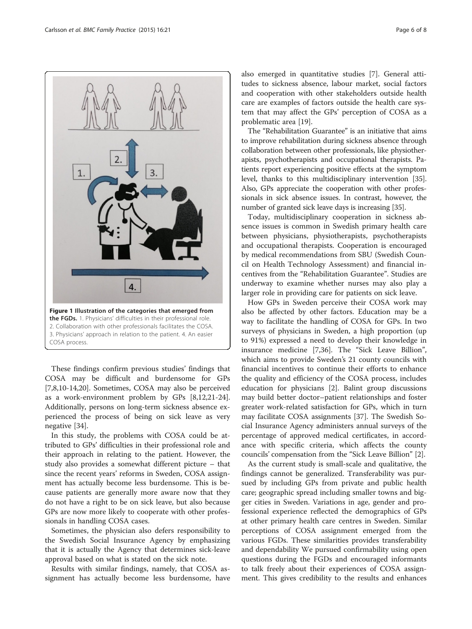<span id="page-5-0"></span>![](_page_5_Figure_2.jpeg)

These findings confirm previous studies' findings that COSA may be difficult and burdensome for GPs [[7,8,10-14,20](#page-6-0)]. Sometimes, COSA may also be perceived as a work-environment problem by GPs [[8,12,21](#page-6-0)[-24](#page-7-0)]. Additionally, persons on long-term sickness absence experienced the process of being on sick leave as very negative [\[34](#page-7-0)].

In this study, the problems with COSA could be attributed to GPs' difficulties in their professional role and their approach in relating to the patient. However, the study also provides a somewhat different picture – that since the recent years' reforms in Sweden, COSA assignment has actually become less burdensome. This is because patients are generally more aware now that they do not have a right to be on sick leave, but also because GPs are now more likely to cooperate with other professionals in handling COSA cases.

Sometimes, the physician also defers responsibility to the Swedish Social Insurance Agency by emphasizing that it is actually the Agency that determines sick-leave approval based on what is stated on the sick note.

Results with similar findings, namely, that COSA assignment has actually become less burdensome, have

also emerged in quantitative studies [\[7\]](#page-6-0). General attitudes to sickness absence, labour market, social factors and cooperation with other stakeholders outside health care are examples of factors outside the health care system that may affect the GPs' perception of COSA as a problematic area [\[19](#page-6-0)].

The "Rehabilitation Guarantee" is an initiative that aims to improve rehabilitation during sickness absence through collaboration between other professionals, like physiotherapists, psychotherapists and occupational therapists. Patients report experiencing positive effects at the symptom level, thanks to this multidisciplinary intervention [[35](#page-7-0)]. Also, GPs appreciate the cooperation with other professionals in sick absence issues. In contrast, however, the number of granted sick leave days is increasing [[35](#page-7-0)].

Today, multidisciplinary cooperation in sickness absence issues is common in Swedish primary health care between physicians, physiotherapists, psychotherapists and occupational therapists. Cooperation is encouraged by medical recommendations from SBU (Swedish Council on Health Technology Assessment) and financial incentives from the "Rehabilitation Guarantee". Studies are underway to examine whether nurses may also play a larger role in providing care for patients on sick leave.

How GPs in Sweden perceive their COSA work may also be affected by other factors. Education may be a way to facilitate the handling of COSA for GPs. In two surveys of physicians in Sweden, a high proportion (up to 91%) expressed a need to develop their knowledge in insurance medicine [[7,](#page-6-0)[36\]](#page-7-0). The "Sick Leave Billion", which aims to provide Sweden's 21 county councils with financial incentives to continue their efforts to enhance the quality and efficiency of the COSA process, includes education for physicians [[2\]](#page-6-0). Balint group discussions may build better doctor–patient relationships and foster greater work-related satisfaction for GPs, which in turn may facilitate COSA assignments [[37\]](#page-7-0). The Swedish Social Insurance Agency administers annual surveys of the percentage of approved medical certificates, in accordance with specific criteria, which affects the county councils' compensation from the "Sick Leave Billion" [[2\]](#page-6-0).

As the current study is small-scale and qualitative, the findings cannot be generalized. Transferability was pursued by including GPs from private and public health care; geographic spread including smaller towns and bigger cities in Sweden. Variations in age, gender and professional experience reflected the demographics of GPs at other primary health care centres in Sweden. Similar perceptions of COSA assignment emerged from the various FGDs. These similarities provides transferability and dependability We pursued confirmability using open questions during the FGDs and encouraged informants to talk freely about their experiences of COSA assignment. This gives credibility to the results and enhances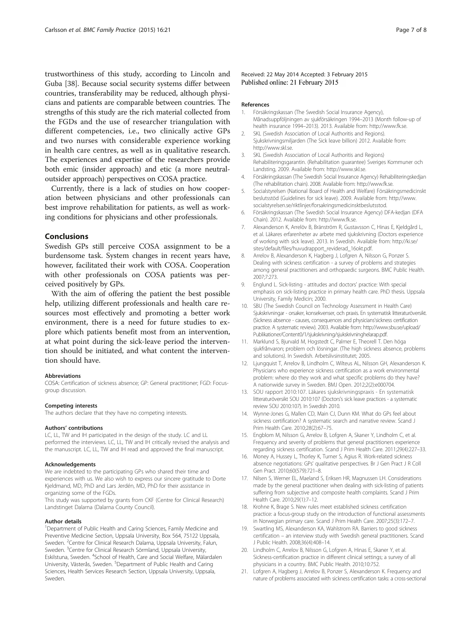<span id="page-6-0"></span>trustworthiness of this study, according to Lincoln and Guba [[38\]](#page-7-0). Because social security systems differ between countries, transferability may be reduced, although physicians and patients are comparable between countries. The strengths of this study are the rich material collected from the FGDs and the use of researcher triangulation with different competencies, i.e., two clinically active GPs and two nurses with considerable experience working in health care centres, as well as in qualitative research. The experiences and expertise of the researchers provide both emic (insider approach) and etic (a more neutraloutsider approach) perspectives on COSA practice.

Currently, there is a lack of studies on how cooperation between physicians and other professionals can best improve rehabilitation for patients, as well as working conditions for physicians and other professionals.

#### Conclusions

Swedish GPs still perceive COSA assignment to be a burdensome task. System changes in recent years have, however, facilitated their work with COSA. Cooperation with other professionals on COSA patients was perceived positively by GPs.

With the aim of offering the patient the best possible help, utilizing different professionals and health care resources most effectively and promoting a better work environment, there is a need for future studies to explore which patients benefit most from an intervention, at what point during the sick-leave period the intervention should be initiated, and what content the intervention should have.

#### Abbreviations

COSA: Certification of sickness absence; GP: General practitioner; FGD: Focusgroup discussion.

#### Competing interests

The authors declare that they have no competing interests.

#### Authors' contributions

LC, LL, TW and IH participated in the design of the study. LC and LL performed the interviews. LC, LL, TW and IH critically revised the analysis and the manuscript. LC, LL, TW and IH read and approved the final manuscript.

#### Acknowledgements

We are indebted to the participating GPs who shared their time and experiences with us. We also wish to express our sincere gratitude to Dorte Kjeldmand, MD, PhD and Lars Jerdén, MD, PhD for their assistance in organizing some of the FGDs.

This study was supported by grants from CKF (Centre for Clinical Research) Landstinget Dalarna (Dalarna County Council).

#### Author details

<sup>1</sup>Department of Public Health and Caring Sciences, Family Medicine and Preventive Medicine Section, Uppsala University, Box 564, 75122 Uppsala, Sweden. <sup>2</sup>Centre for Clinical Research Dalarna, Uppsala University, Falun, Sweden. <sup>3</sup>Centre for Clinical Research Sörmland, Uppsala University, Eskilstuna, Sweden. <sup>4</sup>School of Health, Care and Social Welfare, Mälardalen University, Västerås, Sweden. <sup>5</sup>Department of Public Health and Caring Sciences, Health Services Research Section, Uppsala University, Uppsala, Sweden.

#### References

- 1. Försäkringskassan (The Swedish Social Insurance Agency), Månadsuppföljningen av sjukförsäkringen 1994–2013 (Month follow-up of health insurance 1994–2013). 2013. Available from: [http://www.fk.se.](http://www.fk.se)
- 2. SKL (Swedish Association of Local Authoritis and Regions). Sjukskrivningsmiljarden (The Sick leave billion) 2012. Available from: [http://www.skl.se.](http://www.skl.se)
- 3. SKL (Swedish Association of Local Authoritis and Regions) Rehabiliteringsgarantin. (Rehabilitation guarantee) Sveriges Kommuner och Landsting, 2009. Available from:<http://www.skl.se>.
- 4. Försäkringskassan (The Swedish Social Insurance Agency) Rehabiliteringskedjan (The rehabilitation chain). 2008. Available from:<http://www.fk.se>.
- 5. Socialstyrelsen (National Board of Health and Welfare) Försäkringsmedicinskt beslutsstöd (Guidelines for sick leave). 2009. Available from: [http://www.](http://www.socialstyrelsen.se/riktlinjer/forsakringsmedicinsktbeslutsstod) [socialstyrelsen.se/riktlinjer/forsakringsmedicinsktbeslutsstod.](http://www.socialstyrelsen.se/riktlinjer/forsakringsmedicinsktbeslutsstod)
- 6. Försäkringskassan (The Swedish Social Insurance Agency) DFA-kedjan (DFA Chain). 2012. Available from:<http://www.fk.se>.
- 7. Alexanderson K, Arrelöv B, Bränström R, Gustavsson C, Hinas E, Kjeldgård L, et al. Läkares erfarenheter av arbete med sjukskrivning (Doctors experience of working with sick leave). 2013. In Swedish. Available from: [http://ki.se/](http://ki.se/sites/default/files/huvudrapport_reviderad_16okt.pdf) [sites/default/files/huvudrapport\\_reviderad\\_16okt.pdf](http://ki.se/sites/default/files/huvudrapport_reviderad_16okt.pdf).
- 8. Arrelov B, Alexanderson K, Hagberg J, Lofgren A, Nilsson G, Ponzer S. Dealing with sickness certification - a survey of problems and strategies among general practitioners and orthopaedic surgeons. BMC Public Health. 2007;7:273.
- 9. Englund L. Sick-listing attitudes and doctors' practice: With special emphasis on sick-listing practice in primary health care. PhD thesis. Uppsala University, Family Medicin; 2000.
- 10. SBU (The Swedish Council on Technology Assessment in Health Care) Sjukskrivningar - orsaker, konsekvenser, och praxis. En systematisk litteraturöversikt. (Sickness absence - causes, consequences and physicians'sickness certification practice. A systematic review). 2003. Available from: [http://www.sbu.se/upload/](http://www.sbu.se/upload/Publikationer/Content0/1/sjukskrivning/sjukskrivninghelarap.pdf) [Publikationer/Content0/1/sjukskrivning/sjukskrivninghelarap.pdf](http://www.sbu.se/upload/Publikationer/Content0/1/sjukskrivning/sjukskrivninghelarap.pdf).
- 11. Marklund S, Bjurvald M, Hogstedt C, Palmer E, Theorell T. Den höga sjukfrånvaron; problem och lösningar. (The high sickness absence, problems and solutions). In Swedish. Arbetslivsinstitutet; 2005.
- 12. Ljungquist T, Arrelov B, Lindholm C, Wilteus AL, Nilsson GH, Alexanderson K. Physicians who experience sickness certification as a work environmental problem: where do they work and what specific problems do they have? A nationwide survey in Sweden. BMJ Open. 2012;2(2):e000704.
- 13. SOU rapport 2010:107. Läkares sjukskrivningspraxis En systematisk litteraturöversikt SOU 2010:107 (Doctors's sick leave practices - a systematic review SOU 2010:107). In Swedish 2010.
- 14. Wynne-Jones G, Mallen CD, Main CJ, Dunn KM. What do GPs feel about sickness certification? A systematic search and narrative review. Scand J Prim Health Care. 2010;28(2):67–75.
- 15. Engblom M, Nilsson G, Arrelov B, Lofgren A, Skaner Y, Lindholm C, et al. Frequency and severity of problems that general practitioners experience regarding sickness certification. Scand J Prim Health Care. 2011;29(4):227–33.
- 16. Money A, Hussey L, Thorley K, Turner S, Agius R. Work-related sickness absence negotiations: GPs' qualitative perspectives. Br J Gen Pract J R Coll Gen Pract. 2010;60(579):721–8.
- 17. Nilsen S, Werner EL, Maeland S, Eriksen HR, Magnussen LH. Considerations made by the general practitioner when dealing with sick-listing of patients suffering from subjective and composite health complaints. Scand J Prim Health Care. 2010;29(1):7–12.
- 18. Krohne K, Brage S. New rules meet established sickness certification practice: a focus-group study on the introduction of functional assessments in Norwegian primary care. Scand J Prim Health Care. 2007;25(3):172–7.
- 19. Swartling MS, Alexanderson KA, Wahlstrom RA. Barriers to good sickness certification – an interview study with Swedish general practitioners. Scand J Public Health. 2008;36(4):408–14.
- 20. Lindholm C, Arrelov B, Nilsson G, Lofgren A, Hinas E, Skaner Y, et al. Sickness-certification practice in different clinical settings; a survey of all physicians in a country. BMC Public Health. 2010;10:752.
- 21. Lofgren A, Hagberg J, Arrelov B, Ponzer S, Alexanderson K. Frequency and nature of problems associated with sickness certification tasks: a cross-sectional